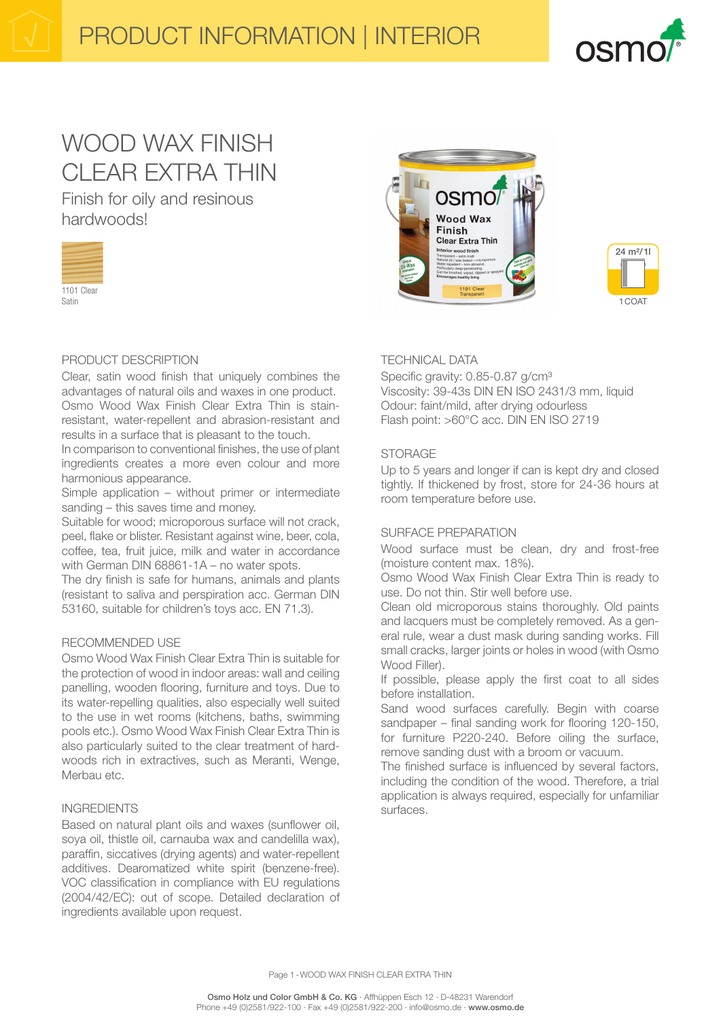

# WOOD WAX FINISH CLEAR EXTRA THIN

Finish for oily and resinous hardwoods!



## PRODUCT DESCRIPTION

Clear, satin wood finish that uniquely combines the advantages of natural oils and waxes in one product. Osmo Wood Wax Finish Clear Extra Thin is stainresistant, water-repellent and abrasion-resistant and results in a surface that is pleasant to the touch.

In comparison to conventional finishes, the use of plant ingredients creates a more even colour and more harmonious appearance.

Simple application – without primer or intermediate sanding – this saves time and money.

Suitable for wood; microporous surface will not crack, peel, flake or blister. Resistant against wine, beer, cola, coffee, tea, fruit juice, milk and water in accordance with German DIN 68861-1A – no water spots.

The dry finish is safe for humans, animals and plants (resistant to saliva and perspiration acc. German DIN 53160, suitable for children's toys acc. EN 71.3).

#### RECOMMENDED USE

Osmo Wood Wax Finish Clear Extra Thin is suitable for the protection of wood in indoor areas: wall and ceiling panelling, wooden flooring, furniture and toys. Due to its water-repelling qualities, also especially well suited to the use in wet rooms (kitchens, baths, swimming pools etc.). Osmo Wood Wax Finish Clear Extra Thin is also particularly suited to the clear treatment of hardwoods rich in extractives, such as Meranti, Wenge, Merbau etc.

#### INGREDIENTS

Based on natural plant oils and waxes (sunflower oil, soya oil, thistle oil, carnauba wax and candelilla wax), paraffin, siccatives (drying agents) and water-repellent additives. Dearomatized white spirit (benzene-free). VOC classification in compliance with EU regulations (2004/42/EC): out of scope. Detailed declaration of ingredients available upon request.





## TECHNICAL DATA

Specific gravity: 0.85-0.87 g/cm<sup>3</sup> Viscosity: 39-43s DIN EN ISO 2431/3 mm, liquid Odour: faint/mild, after drying odourless Flash point: >60°C acc. DIN EN ISO 2719

#### STORAGE

Up to 5 years and longer if can is kept dry and closed tightly. If thickened by frost, store for 24-36 hours at room temperature before use.

#### SURFACE PREPARATION

Wood surface must be clean, dry and frost-free (moisture content max. 18%).

Osmo Wood Wax Finish Clear Extra Thin is ready to use. Do not thin. Stir well before use.

Clean old microporous stains thoroughly. Old paints and lacquers must be completely removed. As a general rule, wear a dust mask during sanding works. Fill small cracks, larger joints or holes in wood (with Osmo Wood Filler).

If possible, please apply the first coat to all sides before installation.

Sand wood surfaces carefully. Begin with coarse sandpaper – final sanding work for flooring 120-150, for furniture P220-240. Before oiling the surface, remove sanding dust with a broom or vacuum.

The finished surface is influenced by several factors, including the condition of the wood. Therefore, a trial application is always required, especially for unfamiliar surfaces.